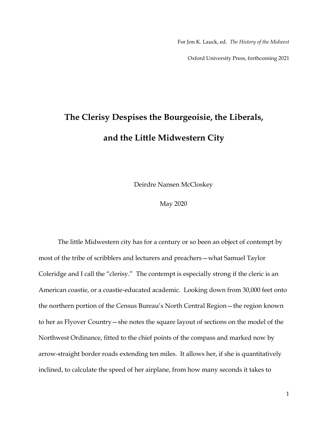For Jon K. Lauck, ed. *The History of the Midwest* 

Oxford University Press, forthcoming 2021

## **The Clerisy Despises the Bourgeoisie, the Liberals, and the Little Midwestern City**

Deirdre Nansen McCloskey

May 2020

The little Midwestern city has for a century or so been an object of contempt by most of the tribe of scribblers and lecturers and preachers—what Samuel Taylor Coleridge and I call the "clerisy." The contempt is especially strong if the cleric is an American coastie, or a coastie-educated academic. Looking down from 30,000 feet onto the northern portion of the Census Bureau's North Central Region—the region known to her as Flyover Country—she notes the square layout of sections on the model of the Northwest Ordinance, fitted to the chief points of the compass and marked now by arrow-straight border roads extending ten miles. It allows her, if she is quantitatively inclined, to calculate the speed of her airplane, from how many seconds it takes to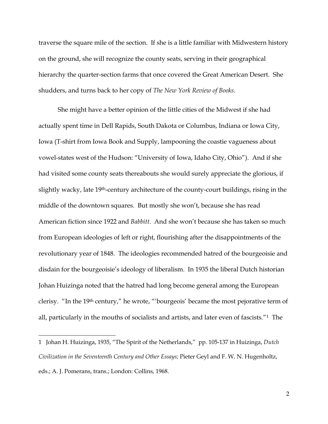traverse the square mile of the section. If she is a little familiar with Midwestern history on the ground, she will recognize the county seats, serving in their geographical hierarchy the quarter-section farms that once covered the Great American Desert. She shudders, and turns back to her copy of *The New York Review of Books*.

She might have a better opinion of the little cities of the Midwest if she had actually spent time in Dell Rapids, South Dakota or Columbus, Indiana or Iowa City, Iowa (T-shirt from Iowa Book and Supply, lampooning the coastie vagueness about vowel-states west of the Hudson: "University of Iowa, Idaho City, Ohio"). And if she had visited some county seats thereabouts she would surely appreciate the glorious, if slightly wacky, late 19th-century architecture of the county-court buildings, rising in the middle of the downtown squares. But mostly she won't, because she has read American fiction since 1922 and *Babbitt*. And she won't because she has taken so much from European ideologies of left or right, flourishing after the disappointments of the revolutionary year of 1848. The ideologies recommended hatred of the bourgeoisie and disdain for the bourgeoisie's ideology of liberalism. In 1935 the liberal Dutch historian Johan Huizinga noted that the hatred had long become general among the European clerisy. "In the 19th century," he wrote, "'bourgeois' became the most pejorative term of all, particularly in the mouths of socialists and artists, and later even of fascists."<sup>1</sup> The

<sup>1</sup> Johan H. Huizinga, 1935, "The Spirit of the Netherlands," pp. 105-137 in Huizinga, *Dutch Civilization in the Seventeenth Century and Other Essays;* Pieter Geyl and F. W. N. Hugenholtz, eds.; A. J. Pomerans, trans.; London: Collins, 1968.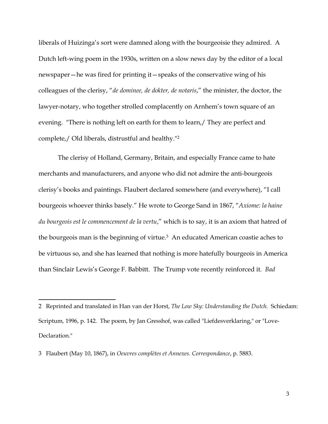liberals of Huizinga's sort were damned along with the bourgeoisie they admired. A Dutch left-wing poem in the 1930s, written on a slow news day by the editor of a local newspaper—he was fired for printing it—speaks of the conservative wing of his colleagues of the clerisy, "*de dominee, de dokter, de notaris*," the minister, the doctor, the lawyer-notary, who together strolled complacently on Arnhem's town square of an evening. "There is nothing left on earth for them to learn,/ They are perfect and complete,/ Old liberals, distrustful and healthy."<sup>2</sup>

The clerisy of Holland, Germany, Britain, and especially France came to hate merchants and manufacturers, and anyone who did not admire the anti-bourgeois clerisy's books and paintings. Flaubert declared somewhere (and everywhere), "I call bourgeois whoever thinks basely." He wrote to George Sand in 1867, "*Axiome: la haine du bourgeois est le commencement de la vertu*," which is to say, it is an axiom that hatred of the bourgeois man is the beginning of virtue.<sup>3</sup> An educated American coastie aches to be virtuous so, and she has learned that nothing is more hatefully bourgeois in America than Sinclair Lewis's George F. Babbitt.The Trump vote recently reinforced it*. Bad* 

3 Flaubert (May 10, 1867), in *Oeuvres complètes et Annexes. Correspondance*, p. 5883.

<sup>2</sup> Reprinted and translated in Han van der Horst, *The Low Sky: Understanding the Dutch.* Schiedam: Scriptum*,* 1996, p. 142. The poem, by Jan Gresshof, was called "Liefdesverklaring," or "Love-Declaration."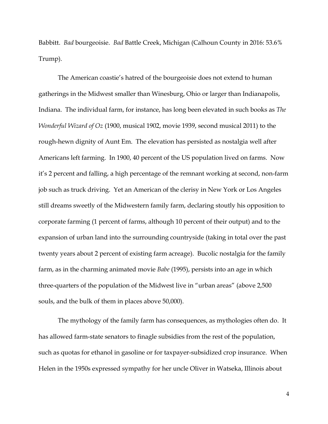Babbitt. *Bad* bourgeoisie. *Bad* Battle Creek, Michigan (Calhoun County in 2016: 53.6% Trump).

The American coastie's hatred of the bourgeoisie does not extend to human gatherings in the Midwest smaller than Winesburg, Ohio or larger than Indianapolis, Indiana. The individual farm, for instance, has long been elevated in such books as *The Wonderful Wizard of Oz* (1900, musical 1902, movie 1939, second musical 2011) to the rough-hewn dignity of Aunt Em. The elevation has persisted as nostalgia well after Americans left farming. In 1900, 40 percent of the US population lived on farms. Now it's 2 percent and falling, a high percentage of the remnant working at second, non-farm job such as truck driving. Yet an American of the clerisy in New York or Los Angeles still dreams sweetly of the Midwestern family farm, declaring stoutly his opposition to corporate farming (1 percent of farms, although 10 percent of their output) and to the expansion of urban land into the surrounding countryside (taking in total over the past twenty years about 2 percent of existing farm acreage). Bucolic nostalgia for the family farm, as in the charming animated movie *Babe* (1995), persists into an age in which three-quarters of the population of the Midwest live in "urban areas" (above 2,500 souls, and the bulk of them in places above 50,000).

The mythology of the family farm has consequences, as mythologies often do. It has allowed farm-state senators to finagle subsidies from the rest of the population, such as quotas for ethanol in gasoline or for taxpayer-subsidized crop insurance. When Helen in the 1950s expressed sympathy for her uncle Oliver in Watseka, Illinois about

4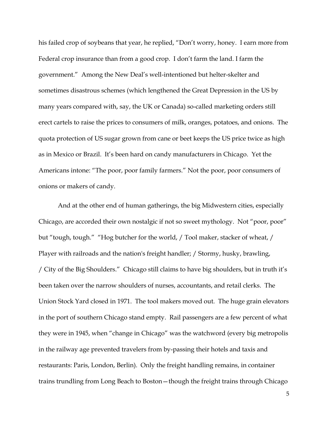his failed crop of soybeans that year, he replied, "Don't worry, honey. I earn more from Federal crop insurance than from a good crop. I don't farm the land. I farm the government." Among the New Deal's well-intentioned but helter-skelter and sometimes disastrous schemes (which lengthened the Great Depression in the US by many years compared with, say, the UK or Canada) so-called marketing orders still erect cartels to raise the prices to consumers of milk, oranges, potatoes, and onions. The quota protection of US sugar grown from cane or beet keeps the US price twice as high as in Mexico or Brazil. It's been hard on candy manufacturers in Chicago. Yet the Americans intone: "The poor, poor family farmers." Not the poor, poor consumers of onions or makers of candy.

And at the other end of human gatherings, the big Midwestern cities, especially Chicago, are accorded their own nostalgic if not so sweet mythology. Not "poor, poor" but "tough, tough." "Hog butcher for the world, / Tool maker, stacker of wheat, / Player with railroads and the nation's freight handler; / Stormy, husky, brawling, / City of the Big Shoulders." Chicago still claims to have big shoulders, but in truth it's been taken over the narrow shoulders of nurses, accountants, and retail clerks. The Union Stock Yard closed in 1971. The tool makers moved out. The huge grain elevators in the port of southern Chicago stand empty. Rail passengers are a few percent of what they were in 1945, when "change in Chicago" was the watchword (every big metropolis in the railway age prevented travelers from by-passing their hotels and taxis and restaurants: Paris, London, Berlin). Only the freight handling remains, in container trains trundling from Long Beach to Boston—though the freight trains through Chicago

5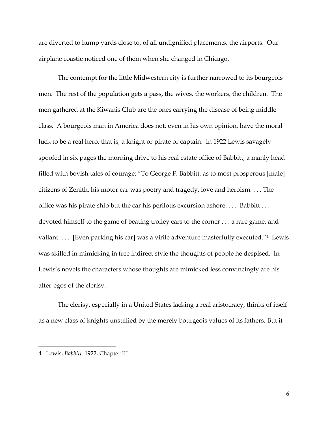are diverted to hump yards close to, of all undignified placements, the airports. Our airplane coastie noticed one of them when she changed in Chicago.

The contempt for the little Midwestern city is further narrowed to its bourgeois men. The rest of the population gets a pass, the wives, the workers, the children. The men gathered at the Kiwanis Club are the ones carrying the disease of being middle class. A bourgeois man in America does not, even in his own opinion, have the moral luck to be a real hero, that is, a knight or pirate or captain. In 1922 Lewis savagely spoofed in six pages the morning drive to his real estate office of Babbitt, a manly head filled with boyish tales of courage: "To George F. Babbitt, as to most prosperous [male] citizens of Zenith, his motor car was poetry and tragedy, love and heroism. . . . The office was his pirate ship but the car his perilous excursion ashore. . . . Babbitt . . . devoted himself to the game of beating trolley cars to the corner . . . a rare game, and valiant. . . . [Even parking his car] was a virile adventure masterfully executed."4 Lewis was skilled in mimicking in free indirect style the thoughts of people he despised. In Lewis's novels the characters whose thoughts are mimicked less convincingly are his alter-egos of the clerisy.

The clerisy, especially in a United States lacking a real aristocracy, thinks of itself as a new class of knights unsullied by the merely bourgeois values of its fathers. But it

<sup>4</sup> Lewis, *Babbitt,* 1922, Chapter III.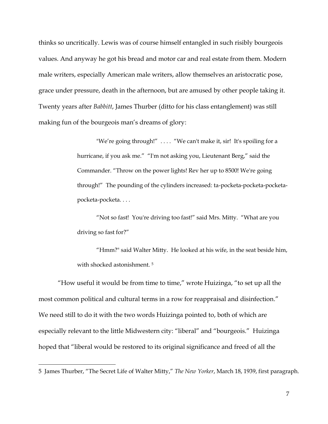thinks so uncritically. Lewis was of course himself entangled in such risibly bourgeois values. And anyway he got his bread and motor car and real estate from them. Modern male writers, especially American male writers, allow themselves an aristocratic pose, grace under pressure, death in the afternoon, but are amused by other people taking it. Twenty years after *Babbitt*, James Thurber (ditto for his class entanglement) was still making fun of the bourgeois man's dreams of glory:

> "We're going through!" .... "We can't make it, sir! It's spoiling for a hurricane, if you ask me." "I'm not asking you, Lieutenant Berg," said the Commander. "Throw on the power lights! Rev her up to 8500! We're going through!" The pounding of the cylinders increased: ta-pocketa-pocketa-pocketapocketa-pocketa. . . .

"Not so fast! You're driving too fast!" said Mrs. Mitty. "What are you driving so fast for?"

"Hmm?" said Walter Mitty. He looked at his wife, in the seat beside him, with shocked astonishment.<sup>5</sup>

"How useful it would be from time to time," wrote Huizinga, "to set up all the most common political and cultural terms in a row for reappraisal and disinfection." We need still to do it with the two words Huizinga pointed to, both of which are especially relevant to the little Midwestern city: "liberal" and "bourgeois." Huizinga hoped that "liberal would be restored to its original significance and freed of all the

<sup>5</sup> James Thurber, "The Secret Life of Walter Mitty," *The New Yorker*, March 18, 1939, first paragraph.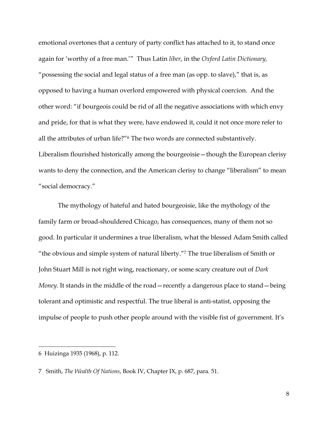emotional overtones that a century of party conflict has attached to it, to stand once again for 'worthy of a free man.'" Thus Latin *liber*, in the *Oxford Latin Dictionary,*  "possessing the social and legal status of a free man (as opp. to slave)," that is, as opposed to having a human overlord empowered with physical coercion. And the other word: "if bourgeois could be rid of all the negative associations with which envy and pride, for that is what they were, have endowed it, could it not once more refer to all the attributes of urban life?"<sup>6</sup> The two words are connected substantively. Liberalism flourished historically among the bourgeoisie—though the European clerisy wants to deny the connection, and the American clerisy to change "liberalism" to mean "social democracy."

The mythology of hateful and hated bourgeoisie, like the mythology of the family farm or broad-shouldered Chicago, has consequences, many of them not so good. In particular it undermines a true liberalism, what the blessed Adam Smith called "the obvious and simple system of natural liberty."<sup>7</sup> The true liberalism of Smith or John Stuart Mill is not right wing, reactionary, or some scary creature out of *Dark Money*. It stands in the middle of the road—recently a dangerous place to stand—being tolerant and optimistic and respectful. The true liberal is anti-statist, opposing the impulse of people to push other people around with the visible fist of government. It's

<sup>6</sup> Huizinga 1935 (1968), p. 112.

<sup>7</sup> Smith, *The Wealth Of Nations*, Book IV, Chapter IX, p. 687, para. 51.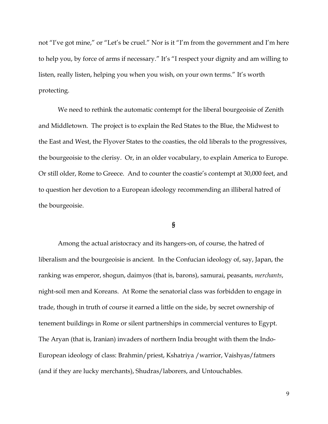not "I've got mine," or "Let's be cruel." Nor is it "I'm from the government and I'm here to help you, by force of arms if necessary." It's "I respect your dignity and am willing to listen, really listen, helping you when you wish, on your own terms." It's worth protecting.

We need to rethink the automatic contempt for the liberal bourgeoisie of Zenith and Middletown. The project is to explain the Red States to the Blue, the Midwest to the East and West, the Flyover States to the coasties, the old liberals to the progressives, the bourgeoisie to the clerisy. Or, in an older vocabulary, to explain America to Europe. Or still older, Rome to Greece. And to counter the coastie's contempt at 30,000 feet, and to question her devotion to a European ideology recommending an illiberal hatred of the bourgeoisie.

## **§**

Among the actual aristocracy and its hangers-on, of course, the hatred of liberalism and the bourgeoisie is ancient. In the Confucian ideology of, say, Japan, the ranking was emperor, shogun, daimyos (that is, barons), samurai, peasants, *merchants*, night-soil men and Koreans. At Rome the senatorial class was forbidden to engage in trade, though in truth of course it earned a little on the side, by secret ownership of tenement buildings in Rome or silent partnerships in commercial ventures to Egypt. The Aryan (that is, Iranian) invaders of northern India brought with them the Indo-European ideology of class: Brahmin/priest, Kshatriya /warrior, Vaishyas/fatmers (and if they are lucky merchants), Shudras/laborers, and Untouchables.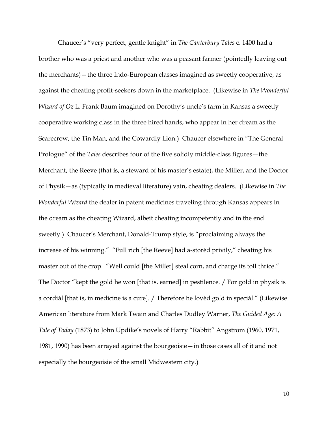Chaucer's "very perfect, gentle knight" in *The Canterbury Tales* c. 1400 had a brother who was a priest and another who was a peasant farmer (pointedly leaving out the merchants)—the three Indo-European classes imagined as sweetly cooperative, as against the cheating profit-seekers down in the marketplace. (Likewise in *The Wonderful Wizard of Oz* L. Frank Baum imagined on Dorothy's uncle's farm in Kansas a sweetly cooperative working class in the three hired hands, who appear in her dream as the Scarecrow, the Tin Man, and the Cowardly Lion*.*) Chaucer elsewhere in "The General Prologue" of the *Tales* describes four of the five solidly middle-class figures—the Merchant, the Reeve (that is, a steward of his master's estate), the Miller, and the Doctor of Physik—as (typically in medieval literature) vain, cheating dealers. (Likewise in *The Wonderful Wizard* the dealer in patent medicines traveling through Kansas appears in the dream as the cheating Wizard, albeit cheating incompetently and in the end sweetly.) Chaucer's Merchant, Donald-Trump style, is "proclaiming always the increase of his winning." "Full rich [the Reeve] had a-storèd privily," cheating his master out of the crop. "Well could [the Miller] steal corn, and charge its toll thrice." The Doctor "kept the gold he won [that is, earned] in pestilence. / For gold in physik is a cordiàl [that is, in medicine is a cure]. / Therefore he lovèd gold in speciàl." (Likewise American literature from Mark Twain and Charles Dudley Warner, *The Guided Age: A Tale of Today* (1873) to John Updike's novels of Harry "Rabbit" Angstrom (1960, 1971, 1981, 1990) has been arrayed against the bourgeoisie—in those cases all of it and not especially the bourgeoisie of the small Midwestern city.)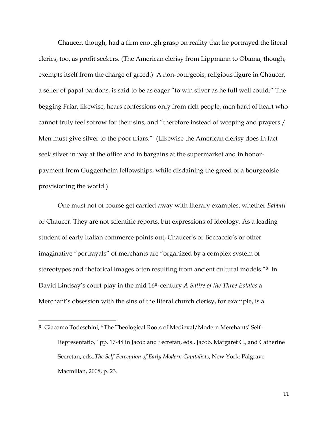Chaucer, though, had a firm enough grasp on reality that he portrayed the literal clerics, too, as profit seekers. (The American clerisy from Lippmann to Obama, though, exempts itself from the charge of greed.) A non-bourgeois, religious figure in Chaucer, a seller of papal pardons, is said to be as eager "to win silver as he full well could." The begging Friar, likewise, hears confessions only from rich people, men hard of heart who cannot truly feel sorrow for their sins, and "therefore instead of weeping and prayers / Men must give silver to the poor friars." (Likewise the American clerisy does in fact seek silver in pay at the office and in bargains at the supermarket and in honorpayment from Guggenheim fellowships, while disdaining the greed of a bourgeoisie provisioning the world.)

One must not of course get carried away with literary examples, whether *Babbitt* or Chaucer. They are not scientific reports, but expressions of ideology. As a leading student of early Italian commerce points out, Chaucer's or Boccaccio's or other imaginative "portrayals" of merchants are "organized by a complex system of stereotypes and rhetorical images often resulting from ancient cultural models."8 In David Lindsay's court play in the mid 16th century *A Satire of the Three Estates* a Merchant's obsession with the sins of the literal church clerisy, for example, is a

<sup>8</sup> Giacomo Todeschini, "The Theological Roots of Medieval/Modern Merchants' Self-Representatio," pp. 17-48 in Jacob and Secretan, eds., Jacob, Margaret C., and Catherine Secretan, eds.,*The Self-Perception of Early Modern Capitalists*, New York: Palgrave Macmillan, 2008, p. 23.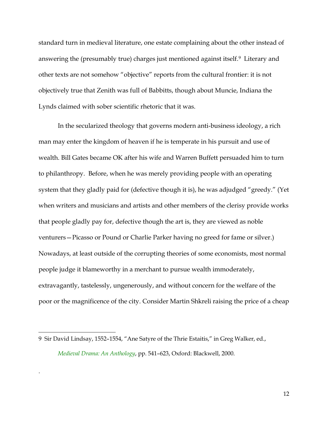standard turn in medieval literature, one estate complaining about the other instead of answering the (presumably true) charges just mentioned against itself.<sup>9</sup> Literary and other texts are not somehow "objective" reports from the cultural frontier: it is not objectively true that Zenith was full of Babbitts, though about Muncie, Indiana the Lynds claimed with sober scientific rhetoric that it was.

In the secularized theology that governs modern anti-business ideology, a rich man may enter the kingdom of heaven if he is temperate in his pursuit and use of wealth. Bill Gates became OK after his wife and Warren Buffett persuaded him to turn to philanthropy. Before, when he was merely providing people with an operating system that they gladly paid for (defective though it is), he was adjudged "greedy." (Yet when writers and musicians and artists and other members of the clerisy provide works that people gladly pay for, defective though the art is, they are viewed as noble venturers—Picasso or Pound or Charlie Parker having no greed for fame or silver.) Nowadays, at least outside of the corrupting theories of some economists, most normal people judge it blameworthy in a merchant to pursue wealth immoderately, extravagantly, tastelessly, ungenerously, and without concern for the welfare of the poor or the magnificence of the city. Consider Martin Shkreli raising the price of a cheap

.

<sup>9</sup> Sir David Lindsay, 1552–1554, "Ane Satyre of the Thrie Estaitis," in Greg Walker, ed., *Medieval Drama: An Anthology*, pp. 541–623, Oxford: Blackwell, 2000.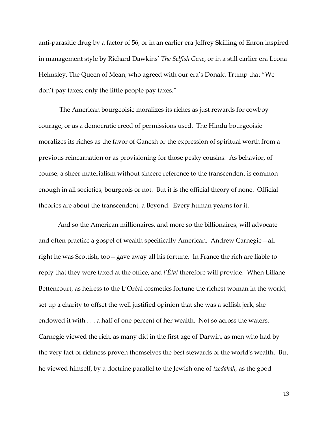anti-parasitic drug by a factor of 56, or in an earlier era Jeffrey Skilling of Enron inspired in management style by Richard Dawkins' *The Selfish Gene*, or in a still earlier era Leona Helmsley, The Queen of Mean, who agreed with our era's Donald Trump that "We don't pay taxes; only the little people pay taxes."

The American bourgeoisie moralizes its riches as just rewards for cowboy courage, or as a democratic creed of permissions used. The Hindu bourgeoisie moralizes its riches as the favor of Ganesh or the expression of spiritual worth from a previous reincarnation or as provisioning for those pesky cousins. As behavior, of course, a sheer materialism without sincere reference to the transcendent is common enough in all societies, bourgeois or not. But it is the official theory of none. Official theories are about the transcendent, a Beyond. Every human yearns for it.

And so the American millionaires, and more so the billionaires, will advocate and often practice a gospel of wealth specifically American. Andrew Carnegie—all right he was Scottish, too—gave away all his fortune. In France the rich are liable to reply that they were taxed at the office, and *l'État* therefore will provide. When Liliane Bettencourt, as heiress to the L'Oréal cosmetics fortune the richest woman in the world, set up a charity to offset the well justified opinion that she was a selfish jerk, she endowed it with . . . a half of one percent of her wealth. Not so across the waters. Carnegie viewed the rich, as many did in the first age of Darwin, as men who had by the very fact of richness proven themselves the best stewards of the world's wealth. But he viewed himself, by a doctrine parallel to the Jewish one of *tzedakah,* as the good

13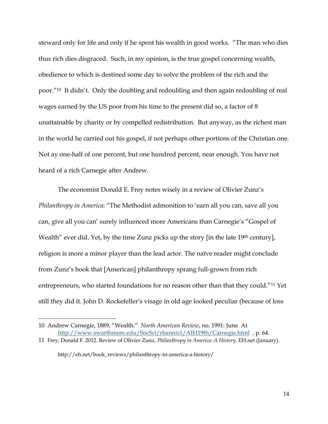steward only for life and only if he spent his wealth in good works. "The man who dies thus rich dies disgraced. Such, in my opinion, is the true gospel concerning wealth, obedience to which is destined some day to solve the problem of the rich and the poor."<sup>10</sup> It didn't. Only the doubling and redoubling and then again redoubling of real wages earned by the US poor from his time to the present did so, a factor of 8 unattainable by charity or by compelled redistribution. But anyway, as the richest man in the world he carried out his gospel, if not perhaps other portions of the Christian one. Not ay one-half of one percent, but one hundred percent, near enough. You have not heard of a rich Carnegie after Andrew.

The economist Donald E. Frey notes wisely in a review of Olivier Zunz's *Philanthropy in America*: "The Methodist admonition to 'earn all you can, save all you can, give all you can' surely influenced more Americans than Carnegie's "Gospel of Wealth" ever did. Yet, by the time Zunz picks up the story [in the late 19<sup>th</sup> century], religion is more a minor player than the lead actor. The naïve reader might conclude from Zunz's book that [American] philanthropy sprang full-grown from rich entrepreneurs, who started foundations for no reason other than that they could."<sup>11</sup> Yet still they did it. John D. Rockefeller's visage in old age looked peculiar (because of loss

http://eh.net/book\_reviews/philanthropy-in-america-a-history/

<sup>10</sup> Andrew Carnegie, 1889, "Wealth." *North American Review*, no. 1991: June At <http://www.swarthmore.edu/SocSci/rbannis1/AIH19th/Carnegie.html>, p. 64.

<sup>11</sup> Frey, Donald F. 2012. Review of Olivier Zunz, *Philanthropy in America: A History*. EH.net (January).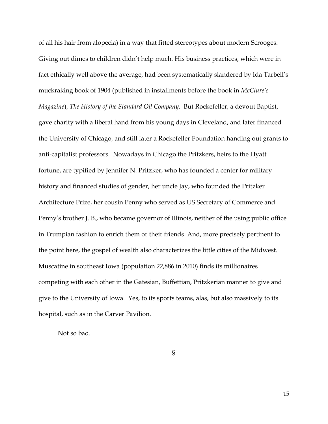of all his hair from alopecia) in a way that fitted stereotypes about modern Scrooges. Giving out dimes to children didn't help much. His business practices, which were in fact ethically well above the average, had been systematically slandered by Ida Tarbell's muckraking book of 1904 (published in installments before the book in *McClure's Magazine*), *The History of the Standard Oil Company*. But Rockefeller, a devout Baptist, gave charity with a liberal hand from his young days in Cleveland, and later financed the University of Chicago, and still later a Rockefeller Foundation handing out grants to anti-capitalist professors. Nowadays in Chicago the Pritzkers, heirs to the Hyatt fortune, are typified by Jennifer N. Pritzker, who has founded a center for military history and financed studies of gender, her uncle Jay, who founded the Pritzker Architecture Prize, her cousin Penny who served as US Secretary of Commerce and Penny's brother J. B., who became governor of Illinois, neither of the using public office in Trumpian fashion to enrich them or their friends. And, more precisely pertinent to the point here, the gospel of wealth also characterizes the little cities of the Midwest. Muscatine in southeast Iowa (population 22,886 in 2010) finds its millionaires competing with each other in the Gatesian, Buffettian, Pritzkerian manner to give and give to the University of Iowa. Yes, to its sports teams, alas, but also massively to its hospital, such as in the Carver Pavilion.

Not so bad.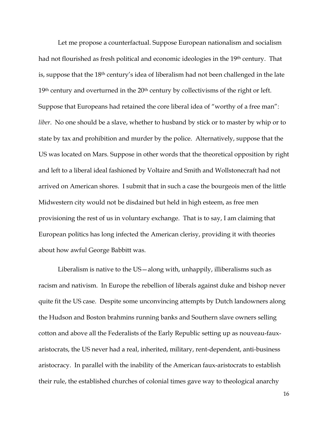Let me propose a counterfactual. Suppose European nationalism and socialism had not flourished as fresh political and economic ideologies in the 19th century. That is, suppose that the 18th century's idea of liberalism had not been challenged in the late  $19<sup>th</sup>$  century and overturned in the  $20<sup>th</sup>$  century by collectivisms of the right or left. Suppose that Europeans had retained the core liberal idea of "worthy of a free man": *liber*. No one should be a slave, whether to husband by stick or to master by whip or to state by tax and prohibition and murder by the police. Alternatively, suppose that the US was located on Mars. Suppose in other words that the theoretical opposition by right and left to a liberal ideal fashioned by Voltaire and Smith and Wollstonecraft had not arrived on American shores. I submit that in such a case the bourgeois men of the little Midwestern city would not be disdained but held in high esteem, as free men provisioning the rest of us in voluntary exchange. That is to say, I am claiming that European politics has long infected the American clerisy, providing it with theories about how awful George Babbitt was.

Liberalism is native to the US—along with, unhappily, illiberalisms such as racism and nativism. In Europe the rebellion of liberals against duke and bishop never quite fit the US case. Despite some unconvincing attempts by Dutch landowners along the Hudson and Boston brahmins running banks and Southern slave owners selling cotton and above all the Federalists of the Early Republic setting up as nouveau-fauxaristocrats, the US never had a real, inherited, military, rent-dependent, anti-business aristocracy. In parallel with the inability of the American faux-aristocrats to establish their rule, the established churches of colonial times gave way to theological anarchy

16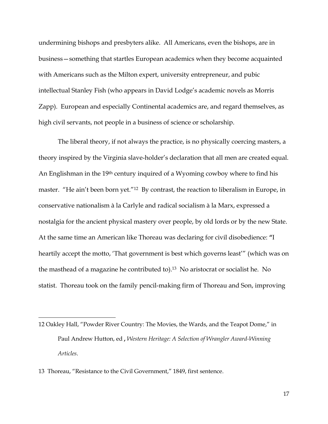undermining bishops and presbyters alike. All Americans, even the bishops, are in business—something that startles European academics when they become acquainted with Americans such as the Milton expert, university entrepreneur, and pubic intellectual Stanley Fish (who appears in David Lodge's academic novels as Morris Zapp). European and especially Continental academics are, and regard themselves, as high civil servants, not people in a business of science or scholarship.

The liberal theory, if not always the practice, is no physically coercing masters, a theory inspired by the Virginia slave-holder's declaration that all men are created equal. An Englishman in the 19th century inquired of a Wyoming cowboy where to find his master. "He ain't been born yet."<sup>12</sup> By contrast, the reaction to liberalism in Europe, in conservative nationalism à la Carlyle and radical socialism à la Marx, expressed a nostalgia for the ancient physical mastery over people, by old lords or by the new State. At the same time an American like Thoreau was declaring for civil disobedience: **"**I heartily accept the motto, 'That government is best which governs least'" (which was on the masthead of a magazine he contributed to). <sup>13</sup> No aristocrat or socialist he. No statist. Thoreau took on the family pencil-making firm of Thoreau and Son, improving

13 Thoreau, "Resistance to the Civil Government," 1849, first sentence.

<sup>12</sup> Oakley Hall, "Powder River Country: The Movies, the Wards, and the Teapot Dome," in Paul Andrew Hutton, ed **,** *Western Heritage: A Selection of Wrangler Award-Winning Articles*.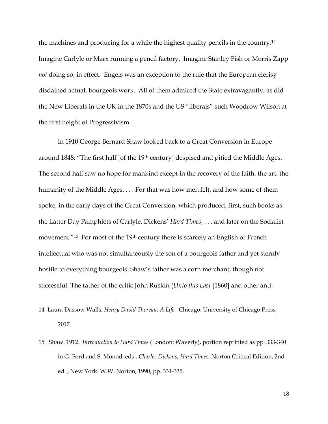the machines and producing for a while the highest quality pencils in the country. 14 Imagine Carlyle or Marx running a pencil factory. Imagine Stanley Fish or Morris Zapp *not* doing so, in effect. Engels was an exception to the rule that the European clerisy disdained actual, bourgeois work. All of them admired the State extravagantly, as did the New Liberals in the UK in the 1870s and the US "liberals" such Woodrow Wilson at the first height of Progressivism.

In 1910 George Bernard Shaw looked back to a Great Conversion in Europe around 1848: "The first half [of the 19th century] despised and pitied the Middle Ages. The second half saw no hope for mankind except in the recovery of the faith, the art, the humanity of the Middle Ages. . . . For that was how men felt, and how some of them spoke, in the early days of the Great Conversion, which produced, first, such books as the Latter Day Pamphlets of Carlyle, Dickens' *Hard Times*, . . . and later on the Socialist movement.<sup>"15</sup> For most of the 19<sup>th</sup> century there is scarcely an English or French intellectual who was not simultaneously the son of a bourgeois father and yet sternly hostile to everything bourgeois. Shaw's father was a corn merchant, though not successful. The father of the critic John Ruskin (*Unto this Last* [1860] and other anti-

<sup>14</sup> Laura Dassow Walls, *Henry David Thoreau: A Life*. Chicago: University of Chicago Press, 2017.

<sup>15</sup> Shaw. 1912. *Introduction to Hard Times* (London: Waverly), portion reprinted as pp. 333-340 in G. Ford and S. Monod, eds., *Charles Dickens, Hard Times,* Norton Critical Edition, 2nd ed. , New York: W.W. Norton, 1990, pp. 334-335.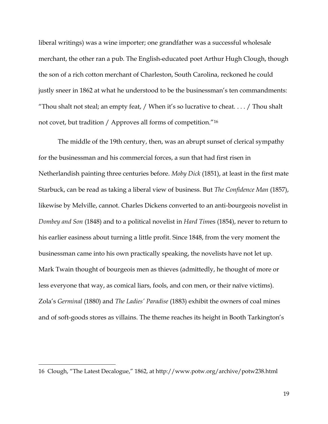liberal writings) was a wine importer; one grandfather was a successful wholesale merchant, the other ran a pub. The English-educated poet Arthur Hugh Clough, though the son of a rich cotton merchant of Charleston, South Carolina, reckoned he could justly sneer in 1862 at what he understood to be the businessman's ten commandments: "Thou shalt not steal; an empty feat,  $/$  When it's so lucrative to cheat.... $/$  Thou shalt not covet, but tradition / Approves all forms of competition."<sup>16</sup>

The middle of the 19th century, then, was an abrupt sunset of clerical sympathy for the businessman and his commercial forces, a sun that had first risen in Netherlandish painting three centuries before. *Moby Dick* (1851), at least in the first mate Starbuck, can be read as taking a liberal view of business. But *The Confidence Man* (1857), likewise by Melville, cannot. Charles Dickens converted to an anti-bourgeois novelist in *Dombey and Son* (1848) and to a political novelist in *Hard Tim*es (1854), never to return to his earlier easiness about turning a little profit. Since 1848, from the very moment the businessman came into his own practically speaking, the novelists have not let up. Mark Twain thought of bourgeois men as thieves (admittedly, he thought of more or less everyone that way, as comical liars, fools, and con men, or their naïve victims). Zola's *Germinal* (1880) and *The Ladies' Paradise* (1883) exhibit the owners of coal mines and of soft-goods stores as villains. The theme reaches its height in Booth Tarkington's

<sup>16</sup> Clough, "The Latest Decalogue," 1862, at http://www.potw.org/archive/potw238.html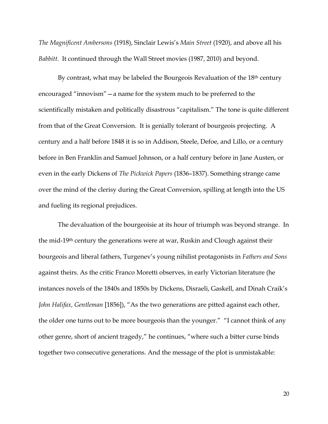*The Magnificent Ambersons* (1918), Sinclair Lewis's *Main Street* (1920), and above all his *Babbitt*. It continued through the Wall Street movies (1987, 2010) and beyond.

By contrast, what may be labeled the Bourgeois Revaluation of the 18<sup>th</sup> century encouraged "innovism"—a name for the system much to be preferred to the scientifically mistaken and politically disastrous "capitalism." The tone is quite different from that of the Great Conversion. It is genially tolerant of bourgeois projecting. A century and a half before 1848 it is so in Addison, Steele, Defoe, and Lillo, or a century before in Ben Franklin and Samuel Johnson, or a half century before in Jane Austen, or even in the early Dickens of *The Pickwick Papers* (1836–1837). Something strange came over the mind of the clerisy during the Great Conversion, spilling at length into the US and fueling its regional prejudices.

The devaluation of the bourgeoisie at its hour of triumph was beyond strange. In the mid-19th century the generations were at war, Ruskin and Clough against their bourgeois and liberal fathers, Turgenev's young nihilist protagonists in *Fathers and Sons*  against theirs. As the critic Franco Moretti observes, in early Victorian literature (he instances novels of the 1840s and 1850s by Dickens, Disraeli, Gaskell, and Dinah Craik's *John Halifax, Gentleman* [1856]), "As the two generations are pitted against each other, the older one turns out to be more bourgeois than the younger." "I cannot think of any other genre, short of ancient tragedy," he continues, "where such a bitter curse binds together two consecutive generations. And the message of the plot is unmistakable:

20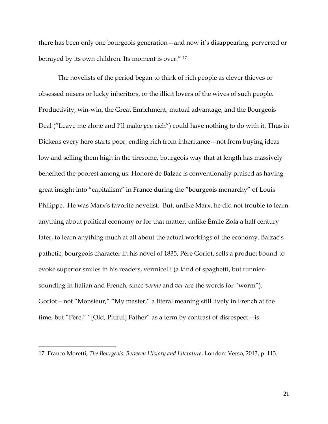there has been only one bourgeois generation—and now it's disappearing, perverted or betrayed by its own children. Its moment is over." <sup>17</sup>

The novelists of the period began to think of rich people as clever thieves or obsessed misers or lucky inheritors, or the illicit lovers of the wives of such people. Productivity, win-win, the Great Enrichment, mutual advantage, and the Bourgeois Deal ("Leave me alone and I'll make *you* rich") could have nothing to do with it. Thus in Dickens every hero starts poor, ending rich from inheritance—not from buying ideas low and selling them high in the tiresome, bourgeois way that at length has massively benefited the poorest among us. Honoré de Balzac is conventionally praised as having great insight into "capitalism" in France during the "bourgeois monarchy" of Louis Philippe. He was Marx's favorite novelist. But, unlike Marx, he did not trouble to learn anything about political economy or for that matter, unlike Émile Zola a half century later, to learn anything much at all about the actual workings of the economy. Balzac's pathetic, bourgeois character in his novel of 1835, Père Goriot, sells a product bound to evoke superior smiles in his readers, vermicelli (a kind of spaghetti, but funniersounding in Italian and French, since *verme* and *ver* are the words for "worm"). Goriot—not "Monsieur," "My master," a literal meaning still lively in French at the time, but "Père," "[Old, Pitiful] Father" as a term by contrast of disrespect—is

<sup>17</sup> Franco Moretti, *The Bourgeois: Between History and Literature*, London: Verso, 2013, p. 113.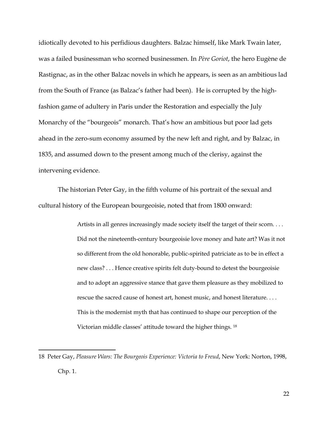idiotically devoted to his perfidious daughters. Balzac himself, like Mark Twain later, was a failed businessman who scorned businessmen. In *Père Goriot*, the hero Eugène de Rastignac, as in the other Balzac novels in which he appears, is seen as an ambitious lad from the South of France (as Balzac's father had been). He is corrupted by the highfashion game of adultery in Paris under the Restoration and especially the July Monarchy of the "bourgeois" monarch. That's how an ambitious but poor lad gets ahead in the zero-sum economy assumed by the new left and right, and by Balzac, in 1835, and assumed down to the present among much of the clerisy, against the intervening evidence.

The historian Peter Gay, in the fifth volume of his portrait of the sexual and cultural history of the European bourgeoisie, noted that from 1800 onward:

> Artists in all genres increasingly made society itself the target of their scorn. . . . Did not the nineteenth-century bourgeoisie love money and hate art? Was it not so different from the old honorable, public-spirited patriciate as to be in effect a new class? . . . Hence creative spirits felt duty-bound to detest the bourgeoisie and to adopt an aggressive stance that gave them pleasure as they mobilized to rescue the sacred cause of honest art, honest music, and honest literature. . . . This is the modernist myth that has continued to shape our perception of the Victorian middle classes' attitude toward the higher things. <sup>18</sup>

<sup>18</sup> Peter Gay, *Pleasure Wars: The Bourgeois Experience: Victoria to Freud*, New York: Norton, 1998, Chp. 1.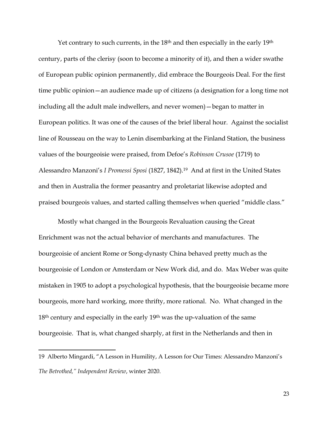Yet contrary to such currents, in the 18<sup>th</sup> and then especially in the early 19<sup>th</sup> century, parts of the clerisy (soon to become a minority of it), and then a wider swathe of European public opinion permanently, did embrace the Bourgeois Deal. For the first time public opinion—an audience made up of citizens (a designation for a long time not including all the adult male indwellers, and never women)—began to matter in European politics. It was one of the causes of the brief liberal hour. Against the socialist line of Rousseau on the way to Lenin disembarking at the Finland Station, the business values of the bourgeoisie were praised, from Defoe's *Robinson Crusoe* (1719) to Alessandro Manzoni's *I Promessi Sposi* (1827, 1842).19 And at first in the United States and then in Australia the former peasantry and proletariat likewise adopted and praised bourgeois values, and started calling themselves when queried "middle class."

Mostly what changed in the Bourgeois Revaluation causing the Great Enrichment was not the actual behavior of merchants and manufactures. The bourgeoisie of ancient Rome or Song-dynasty China behaved pretty much as the bourgeoisie of London or Amsterdam or New Work did, and do. Max Weber was quite mistaken in 1905 to adopt a psychological hypothesis, that the bourgeoisie became more bourgeois, more hard working, more thrifty, more rational. No. What changed in the  $18<sup>th</sup>$  century and especially in the early  $19<sup>th</sup>$  was the up-valuation of the same bourgeoisie. That is, what changed sharply, at first in the Netherlands and then in

<sup>19</sup> Alberto Mingardi, "A Lesson in Humility, A Lesson for Our Times: Alessandro Manzoni's *The Betrothed," Independent Review*, winter 2020.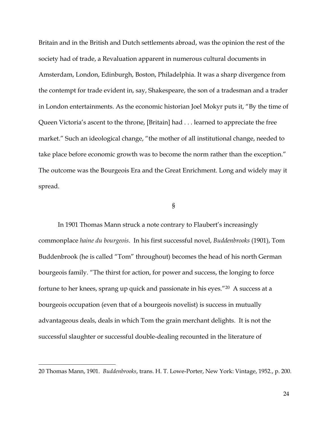Britain and in the British and Dutch settlements abroad, was the opinion the rest of the society had of trade, a Revaluation apparent in numerous cultural documents in Amsterdam, London, Edinburgh, Boston, Philadelphia. It was a sharp divergence from the contempt for trade evident in, say, Shakespeare, the son of a tradesman and a trader in London entertainments. As the economic historian Joel Mokyr puts it, "By the time of Queen Victoria's ascent to the throne, [Britain] had . . . learned to appreciate the free market." Such an ideological change, "the mother of all institutional change, needed to take place before economic growth was to become the norm rather than the exception." The outcome was the Bourgeois Era and the Great Enrichment. Long and widely may it spread.

## §

In 1901 Thomas Mann struck a note contrary to Flaubert's increasingly commonplace *haine du bourgeois*. In his first successful novel, *Buddenbrooks* (1901), Tom Buddenbrook (he is called "Tom" throughout) becomes the head of his north German bourgeois family. "The thirst for action, for power and success, the longing to force fortune to her knees, sprang up quick and passionate in his eyes."20 A success at a bourgeois occupation (even that of a bourgeois novelist) is success in mutually advantageous deals, deals in which Tom the grain merchant delights. It is not the successful slaughter or successful double-dealing recounted in the literature of

<sup>20</sup> Thomas Mann, 1901. *Buddenbrooks*, trans. H. T. Lowe-Porter, New York: Vintage, 1952., p. 200.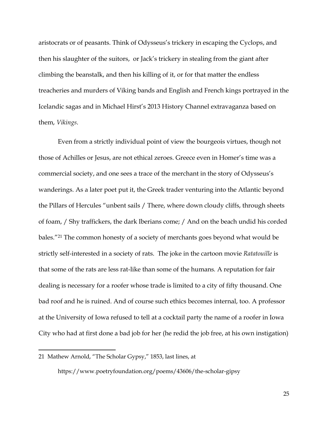aristocrats or of peasants. Think of Odysseus's trickery in escaping the Cyclops, and then his slaughter of the suitors, or Jack's trickery in stealing from the giant after climbing the beanstalk, and then his killing of it, or for that matter the endless treacheries and murders of Viking bands and English and French kings portrayed in the Icelandic sagas and in Michael Hirst's 2013 History Channel extravaganza based on them, *Vikings*.

Even from a strictly individual point of view the bourgeois virtues, though not those of Achilles or Jesus, are not ethical zeroes. Greece even in Homer's time was a commercial society, and one sees a trace of the merchant in the story of Odysseus's wanderings. As a later poet put it, the Greek trader venturing into the Atlantic beyond the Pillars of Hercules "unbent sails / There, where down cloudy cliffs, through sheets of foam, / Shy traffickers, the dark Iberians come; / And on the beach undid his corded bales."<sup>21</sup> The common honesty of a society of merchants goes beyond what would be strictly self-interested in a society of rats. The joke in the cartoon movie *Ratatouille* is that some of the rats are less rat-like than some of the humans*.* A reputation for fair dealing is necessary for a roofer whose trade is limited to a city of fifty thousand. One bad roof and he is ruined. And of course such ethics becomes internal, too. A professor at the University of Iowa refused to tell at a cocktail party the name of a roofer in Iowa City who had at first done a bad job for her (he redid the job free, at his own instigation)

https://www.poetryfoundation.org/poems/43606/the-scholar-gipsy

<sup>21</sup> Mathew Arnold, "The Scholar Gypsy," 1853, last lines, at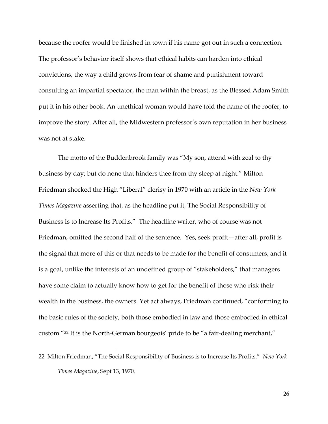because the roofer would be finished in town if his name got out in such a connection. The professor's behavior itself shows that ethical habits can harden into ethical convictions, the way a child grows from fear of shame and punishment toward consulting an impartial spectator, the man within the breast, as the Blessed Adam Smith put it in his other book. An unethical woman would have told the name of the roofer, to improve the story. After all, the Midwestern professor's own reputation in her business was not at stake.

The motto of the Buddenbrook family was "My son, attend with zeal to thy business by day; but do none that hinders thee from thy sleep at night." Milton Friedman shocked the High "Liberal" clerisy in 1970 with an article in the *New York Times Magazine* asserting that, as the headline put it, The Social Responsibility of Business Is to Increase Its Profits." The headline writer, who of course was not Friedman, omitted the second half of the sentence. Yes, seek profit—after all, profit is the signal that more of this or that needs to be made for the benefit of consumers, and it is a goal, unlike the interests of an undefined group of "stakeholders," that managers have some claim to actually know how to get for the benefit of those who risk their wealth in the business, the owners. Yet act always, Friedman continued, "conforming to the basic rules of the society, both those embodied in law and those embodied in ethical custom."<sup>22</sup> It is the North-German bourgeois' pride to be "a fair-dealing merchant,"

<sup>22</sup> Milton Friedman, "The Social Responsibility of Business is to Increase Its Profits." *New York Times Magazine*, Sept 13, 1970.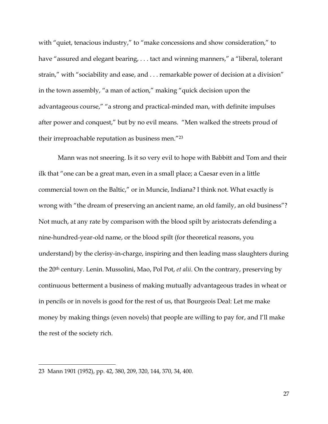with "quiet, tenacious industry," to "make concessions and show consideration," to have "assured and elegant bearing, . . . tact and winning manners," a "liberal, tolerant strain," with "sociability and ease, and . . . remarkable power of decision at a division" in the town assembly, "a man of action," making "quick decision upon the advantageous course," "a strong and practical-minded man, with definite impulses after power and conquest," but by no evil means. "Men walked the streets proud of their irreproachable reputation as business men."<sup>23</sup>

Mann was not sneering. Is it so very evil to hope with Babbitt and Tom and their ilk that "one can be a great man, even in a small place; a Caesar even in a little commercial town on the Baltic," or in Muncie, Indiana? I think not. What exactly is wrong with "the dream of preserving an ancient name, an old family, an old business"? Not much, at any rate by comparison with the blood spilt by aristocrats defending a nine-hundred-year-old name, or the blood spilt (for theoretical reasons, you understand) by the clerisy-in-charge, inspiring and then leading mass slaughters during the 20th century. Lenin. Mussolini, Mao, Pol Pot, *et alii*. On the contrary, preserving by continuous betterment a business of making mutually advantageous trades in wheat or in pencils or in novels is good for the rest of us, that Bourgeois Deal: Let me make money by making things (even novels) that people are willing to pay for, and I'll make the rest of the society rich.

27

<sup>23</sup> Mann 1901 (1952), pp. 42, 380, 209, 320, 144, 370, 34, 400.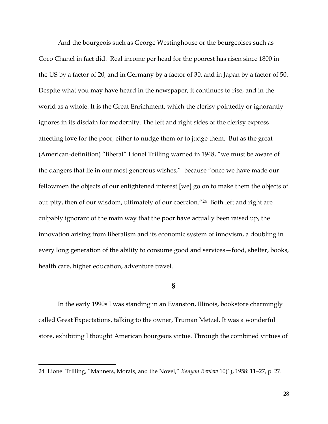And the bourgeois such as George Westinghouse or the bourgeoises such as Coco Chanel in fact did. Real income per head for the poorest has risen since 1800 in the US by a factor of 20, and in Germany by a factor of 30, and in Japan by a factor of 50. Despite what you may have heard in the newspaper, it continues to rise, and in the world as a whole. It is the Great Enrichment, which the clerisy pointedly or ignorantly ignores in its disdain for modernity. The left and right sides of the clerisy express affecting love for the poor, either to nudge them or to judge them. But as the great (American-definition) "liberal" Lionel Trilling warned in 1948, "we must be aware of the dangers that lie in our most generous wishes," because "once we have made our fellowmen the objects of our enlightened interest [we] go on to make them the objects of our pity, then of our wisdom, ultimately of our coercion."<sup>24</sup> Both left and right are culpably ignorant of the main way that the poor have actually been raised up, the innovation arising from liberalism and its economic system of innovism, a doubling in every long generation of the ability to consume good and services—food, shelter, books, health care, higher education, adventure travel.

## **§**

In the early 1990s I was standing in an Evanston, Illinois, bookstore charmingly called Great Expectations, talking to the owner, Truman Metzel. It was a wonderful store, exhibiting I thought American bourgeois virtue. Through the combined virtues of

<sup>24</sup> Lionel Trilling, "Manners, Morals, and the Novel," *Kenyon Review* 10(1), 1958: 11–27, p. 27.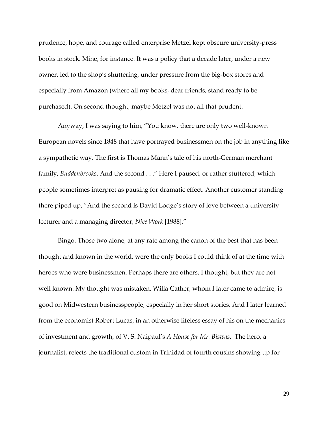prudence, hope, and courage called enterprise Metzel kept obscure university-press books in stock. Mine, for instance. It was a policy that a decade later, under a new owner, led to the shop's shuttering, under pressure from the big-box stores and especially from Amazon (where all my books, dear friends, stand ready to be purchased). On second thought, maybe Metzel was not all that prudent.

Anyway, I was saying to him, "You know, there are only two well-known European novels since 1848 that have portrayed businessmen on the job in anything like a sympathetic way. The first is Thomas Mann's tale of his north-German merchant family, *Buddenbrooks*. And the second . . ." Here I paused, or rather stuttered, which people sometimes interpret as pausing for dramatic effect. Another customer standing there piped up, "And the second is David Lodge's story of love between a university lecturer and a managing director, *Nice Work* [1988]."

Bingo. Those two alone, at any rate among the canon of the best that has been thought and known in the world, were the only books I could think of at the time with heroes who were businessmen. Perhaps there are others, I thought, but they are not well known. My thought was mistaken. Willa Cather, whom I later came to admire, is good on Midwestern businesspeople, especially in her short stories. And I later learned from the economist Robert Lucas, in an otherwise lifeless essay of his on the mechanics of investment and growth, of V. S. Naipaul's *A House for Mr. Biswas*. The hero, a journalist, rejects the traditional custom in Trinidad of fourth cousins showing up for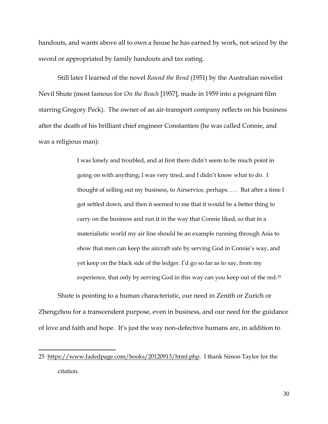handouts, and wants above all to own a house he has earned by work, not seized by the sword or appropriated by family handouts and tax eating.

Still later I learned of the novel *Round the Bend* (1951) by the Australian novelist Nevil Shute (most famous for *On the Beach* [1957], made in 1959 into a poignant film starring Gregory Peck). The owner of an air-transport company reflects on his business after the death of his brilliant chief engineer Constantien (he was called Connie, and was a religious man):

> I was lonely and troubled, and at first there didn't seem to be much point in going on with anything; I was very tired, and I didn't know what to do. I thought of selling out my business, to Airservice, perhaps. . . . But after a time I got settled down, and then it seemed to me that it would be a better thing to carry on the business and run it in the way that Connie liked, so that in a materialistic world my air line should be an example running through Asia to show that men can keep the aircraft safe by serving God in Connie's way, and yet keep on the black side of the ledger. I'd go so far as to say, from my experience, that only by serving God in this way can you keep out of the red.<sup>25</sup>

Shute is pointing to a human characteristic, our need in Zenith or Zurich or Zhengzhou for a transcendent purpose, even in business, and our need for the guidance of love and faith and hope. It's just the way non-defective humans are, in addition to

<sup>25</sup> [https://www.fadedpage.com/books/20120913/html.php.](https://www.fadedpage.com/books/20120913/html.php) I thank Simon Taylor for the citation.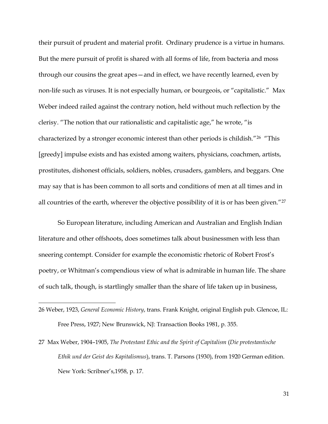their pursuit of prudent and material profit. Ordinary prudence is a virtue in humans. But the mere pursuit of profit is shared with all forms of life, from bacteria and moss through our cousins the great apes—and in effect, we have recently learned, even by non-life such as viruses. It is not especially human, or bourgeois, or "capitalistic." Max Weber indeed railed against the contrary notion, held without much reflection by the clerisy. "The notion that our rationalistic and capitalistic age," he wrote, "is characterized by a stronger economic interest than other periods is childish."<sup>26</sup> "This [greedy] impulse exists and has existed among waiters, physicians, coachmen, artists, prostitutes, dishonest officials, soldiers, nobles, crusaders, gamblers, and beggars. One may say that is has been common to all sorts and conditions of men at all times and in all countries of the earth, wherever the objective possibility of it is or has been given."<sup>27</sup>

So European literature, including American and Australian and English Indian literature and other offshoots, does sometimes talk about businessmen with less than sneering contempt. Consider for example the economistic rhetoric of Robert Frost's poetry, or Whitman's compendious view of what is admirable in human life. The share of such talk, though, is startlingly smaller than the share of life taken up in business,

<sup>26</sup> Weber, 1923, *General Economic History*, trans. Frank Knight, original English pub. Glencoe, IL: Free Press, 1927; New Brunswick, NJ: Transaction Books 1981, p. 355.

<sup>27</sup> Max Weber, 1904–1905, *The Protestant Ethic and the Spirit of Capitalism* (*Die protestantische Ethik und der Geist des Kapitalismus*), trans. T. Parsons (1930), from 1920 German edition. New York: Scribner's,1958, p. 17.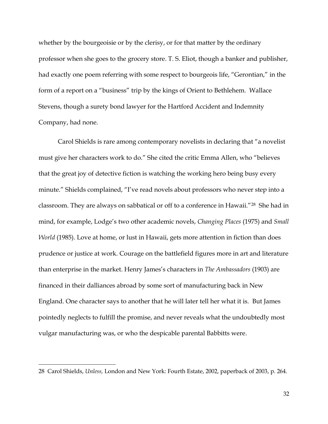whether by the bourgeoisie or by the clerisy, or for that matter by the ordinary professor when she goes to the grocery store. T. S. Eliot, though a banker and publisher, had exactly one poem referring with some respect to bourgeois life, "Gerontian," in the form of a report on a "business" trip by the kings of Orient to Bethlehem. Wallace Stevens, though a surety bond lawyer for the Hartford Accident and Indemnity Company, had none.

Carol Shields is rare among contemporary novelists in declaring that "a novelist must give her characters work to do." She cited the critic Emma Allen, who "believes that the great joy of detective fiction is watching the working hero being busy every minute." Shields complained, "I've read novels about professors who never step into a classroom. They are always on sabbatical or off to a conference in Hawaii."28 She had in mind, for example, Lodge's two other academic novels, *Changing Places* (1975) and *Small World* (1985). Love at home, or lust in Hawaii, gets more attention in fiction than does prudence or justice at work. Courage on the battlefield figures more in art and literature than enterprise in the market. Henry James's characters in *The Ambassadors* (1903) are financed in their dalliances abroad by some sort of manufacturing back in New England. One character says to another that he will later tell her what it is. But James pointedly neglects to fulfill the promise, and never reveals what the undoubtedly most vulgar manufacturing was, or who the despicable parental Babbitts were.

<sup>28</sup> Carol Shields, *Unless,* London and New York: Fourth Estate, 2002, paperback of 2003, p. 264.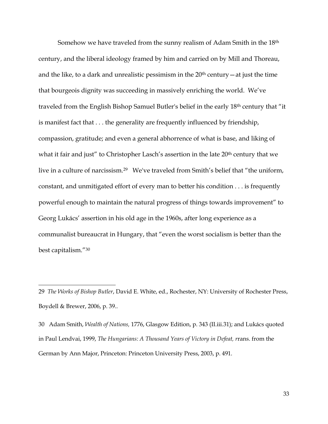Somehow we have traveled from the sunny realism of Adam Smith in the 18th century, and the liberal ideology framed by him and carried on by Mill and Thoreau, and the like, to a dark and unrealistic pessimism in the  $20<sup>th</sup>$  century  $-$  at just the time that bourgeois dignity was succeeding in massively enriching the world. We've traveled from the English Bishop Samuel Butler's belief in the early 18th century that "it is manifest fact that . . . the generality are frequently influenced by friendship, compassion, gratitude; and even a general abhorrence of what is base, and liking of what it fair and just" to Christopher Lasch's assertion in the late 20<sup>th</sup> century that we live in a culture of narcissism.29 We've traveled from Smith's belief that "the uniform, constant, and unmitigated effort of every man to better his condition . . . is frequently powerful enough to maintain the natural progress of things towards improvement" to Georg Lukács' assertion in his old age in the 1960s, after long experience as a communalist bureaucrat in Hungary, that "even the worst socialism is better than the best capitalism."<sup>30</sup>

<sup>29</sup> *The Works of Bishop Butler*, David E. White, ed., Rochester, NY: University of Rochester Press, Boydell & Brewer, 2006, p. 39..

<sup>30</sup> Adam Smith, *Wealth of Nations,* 1776, Glasgow Edition, p. 343 (II.iii.31); and Lukács quoted in Paul Lendvai, 1999, *The Hungarians: A Thousand Years of Victory in Defeat, r*rans. from the German by Ann Major, Princeton: Princeton University Press, 2003, p. 491.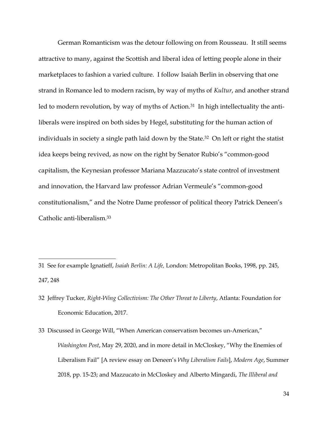German Romanticism was the detour following on from Rousseau. It still seems attractive to many, against the Scottish and liberal idea of letting people alone in their marketplaces to fashion a varied culture. I follow Isaiah Berlin in observing that one strand in Romance led to modern racism, by way of myths of *Kultur*, and another strand led to modern revolution, by way of myths of Action.<sup>31</sup> In high intellectuality the antiliberals were inspired on both sides by Hegel, substituting for the human action of individuals in society a single path laid down by the State.<sup>32</sup> On left or right the statist idea keeps being revived, as now on the right by Senator Rubio's "common-good capitalism, the Keynesian professor Mariana Mazzucato's state control of investment and innovation, the Harvard law professor Adrian Vermeule's "common-good constitutionalism," and the Notre Dame professor of political theory Patrick Deneen's Catholic anti-liberalism.<sup>33</sup>

<sup>31</sup> See for example Ignatieff, *Isaiah Berlin: A Life,* London: Metropolitan Books, 1998, pp. 245, 247, 248

<sup>32</sup> Jeffrey Tucker, *Right-Wing Collectivism: The Other Threat to Liberty*, Atlanta: Foundation for Economic Education, 2017.

<sup>33</sup> Discussed in George Will, "When American conservatism becomes un-American," *Washington Post*, May 29, 2020, and in more detail in McCloskey, "Why the Enemies of Liberalism Fail" [A review essay on Deneen's *Why Liberalism Fails*], *Modern Age*, Summer 2018, pp. 15-23; and Mazzucato in McCloskey and Alberto Mingardi, *The Illiberal and*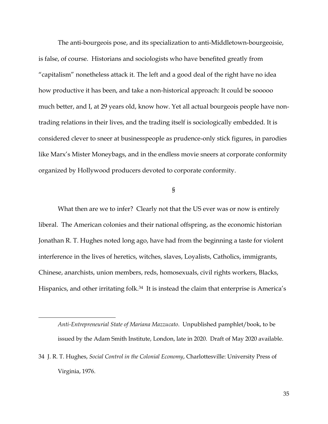The anti-bourgeois pose, and its specialization to anti-Middletown-bourgeoisie, is false, of course. Historians and sociologists who have benefited greatly from "capitalism" nonetheless attack it. The left and a good deal of the right have no idea how productive it has been, and take a non-historical approach: It could be sooooo much better, and I, at 29 years old, know how. Yet all actual bourgeois people have nontrading relations in their lives, and the trading itself is sociologically embedded. It is considered clever to sneer at businesspeople as prudence-only stick figures, in parodies like Marx's Mister Moneybags, and in the endless movie sneers at corporate conformity organized by Hollywood producers devoted to corporate conformity.

§

What then are we to infer? Clearly not that the US ever was or now is entirely liberal. The American colonies and their national offspring, as the economic historian Jonathan R. T. Hughes noted long ago, have had from the beginning a taste for violent interference in the lives of heretics, witches, slaves, Loyalists, Catholics, immigrants, Chinese, anarchists, union members, reds, homosexuals, civil rights workers, Blacks, Hispanics, and other irritating folk.<sup>34</sup> It is instead the claim that enterprise is America's

*Anti-Entrepreneurial State of Mariana Mazzucato*. Unpublished pamphlet/book, to be issued by the Adam Smith Institute, London, late in 2020. Draft of May 2020 available.

<sup>34</sup> J. R. T. Hughes, *Social Control in the Colonial Economy*, Charlottesville: University Press of Virginia, 1976.